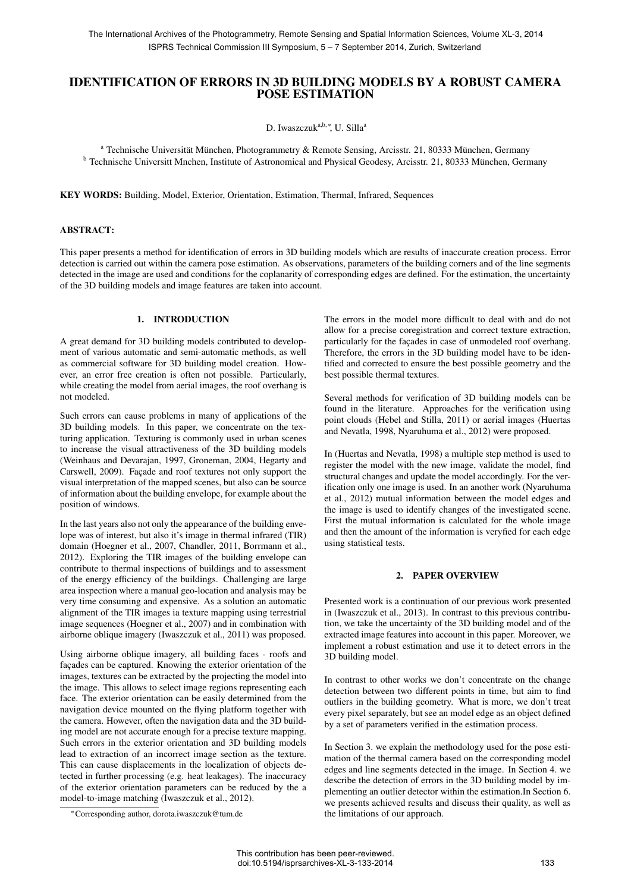# IDENTIFICATION OF ERRORS IN 3D BUILDING MODELS BY A ROBUST CAMERA POSE ESTIMATION

D. Iwaszczuk<sup>a,b,∗</sup>, U. Silla<sup>a</sup>

<sup>a</sup> Technische Universität München, Photogrammetry & Remote Sensing, Arcisstr. 21, 80333 München, Germany <sup>b</sup> Technische Universitt Mnchen, Institute of Astronomical and Physical Geodesy, Arcisstr. 21, 80333 Munchen, Germany ¨

KEY WORDS: Building, Model, Exterior, Orientation, Estimation, Thermal, Infrared, Sequences

## ABSTRACT:

This paper presents a method for identification of errors in 3D building models which are results of inaccurate creation process. Error detection is carried out within the camera pose estimation. As observations, parameters of the building corners and of the line segments detected in the image are used and conditions for the coplanarity of corresponding edges are defined. For the estimation, the uncertainty of the 3D building models and image features are taken into account.

## 1. INTRODUCTION

A great demand for 3D building models contributed to development of various automatic and semi-automatic methods, as well as commercial software for 3D building model creation. However, an error free creation is often not possible. Particularly, while creating the model from aerial images, the roof overhang is not modeled.

Such errors can cause problems in many of applications of the 3D building models. In this paper, we concentrate on the texturing application. Texturing is commonly used in urban scenes to increase the visual attractiveness of the 3D building models (Weinhaus and Devarajan, 1997, Groneman, 2004, Hegarty and Carswell, 2009). Façade and roof textures not only support the visual interpretation of the mapped scenes, but also can be source of information about the building envelope, for example about the position of windows.

In the last years also not only the appearance of the building envelope was of interest, but also it's image in thermal infrared (TIR) domain (Hoegner et al., 2007, Chandler, 2011, Borrmann et al., 2012). Exploring the TIR images of the building envelope can contribute to thermal inspections of buildings and to assessment of the energy efficiency of the buildings. Challenging are large area inspection where a manual geo-location and analysis may be very time consuming and expensive. As a solution an automatic alignment of the TIR images ia texture mapping using terrestrial image sequences (Hoegner et al., 2007) and in combination with airborne oblique imagery (Iwaszczuk et al., 2011) was proposed.

Using airborne oblique imagery, all building faces - roofs and façades can be captured. Knowing the exterior orientation of the images, textures can be extracted by the projecting the model into the image. This allows to select image regions representing each face. The exterior orientation can be easily determined from the navigation device mounted on the flying platform together with the camera. However, often the navigation data and the 3D building model are not accurate enough for a precise texture mapping. Such errors in the exterior orientation and 3D building models lead to extraction of an incorrect image section as the texture. This can cause displacements in the localization of objects detected in further processing (e.g. heat leakages). The inaccuracy of the exterior orientation parameters can be reduced by the a model-to-image matching (Iwaszczuk et al., 2012).

∗Corresponding author, dorota.iwaszczuk@tum.de

The errors in the model more difficult to deal with and do not allow for a precise coregistration and correct texture extraction, particularly for the façades in case of unmodeled roof overhang. Therefore, the errors in the 3D building model have to be identified and corrected to ensure the best possible geometry and the best possible thermal textures.

Several methods for verification of 3D building models can be found in the literature. Approaches for the verification using point clouds (Hebel and Stilla, 2011) or aerial images (Huertas and Nevatla, 1998, Nyaruhuma et al., 2012) were proposed.

In (Huertas and Nevatla, 1998) a multiple step method is used to register the model with the new image, validate the model, find structural changes and update the model accordingly. For the verification only one image is used. In an another work (Nyaruhuma et al., 2012) mutual information between the model edges and the image is used to identify changes of the investigated scene. First the mutual information is calculated for the whole image and then the amount of the information is veryfied for each edge using statistical tests.

## 2. PAPER OVERVIEW

Presented work is a continuation of our previous work presented in (Iwaszczuk et al., 2013). In contrast to this previous contribution, we take the uncertainty of the 3D building model and of the extracted image features into account in this paper. Moreover, we implement a robust estimation and use it to detect errors in the 3D building model.

In contrast to other works we don't concentrate on the change detection between two different points in time, but aim to find outliers in the building geometry. What is more, we don't treat every pixel separately, but see an model edge as an object defined by a set of parameters verified in the estimation process.

In Section 3. we explain the methodology used for the pose estimation of the thermal camera based on the corresponding model edges and line segments detected in the image. In Section 4. we describe the detection of errors in the 3D building model by implementing an outlier detector within the estimation.In Section 6. we presents achieved results and discuss their quality, as well as the limitations of our approach.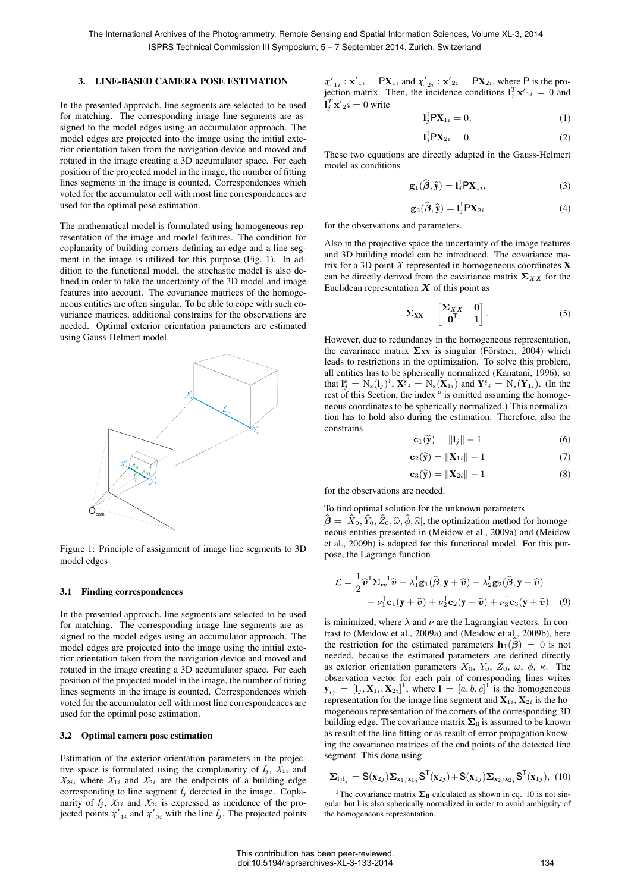## 3. LINE-BASED CAMERA POSE ESTIMATION

In the presented approach, line segments are selected to be used for matching. The corresponding image line segments are assigned to the model edges using an accumulator approach. The model edges are projected into the image using the initial exterior orientation taken from the navigation device and moved and rotated in the image creating a 3D accumulator space. For each position of the projected model in the image, the number of fitting lines segments in the image is counted. Correspondences which voted for the accumulator cell with most line correspondences are used for the optimal pose estimation.

The mathematical model is formulated using homogeneous representation of the image and model features. The condition for coplanarity of building corners defining an edge and a line segment in the image is utilized for this purpose (Fig. 1). In addition to the functional model, the stochastic model is also defined in order to take the uncertainty of the 3D model and image features into account. The covariance matrices of the homogeneous entities are often singular. To be able to cope with such covariance matrices, additional constrains for the observations are needed. Optimal exterior orientation parameters are estimated using Gauss-Helmert model.



Figure 1: Principle of assignment of image line segments to 3D model edges

#### 3.1 Finding correspondences

In the presented approach, line segments are selected to be used for matching. The corresponding image line segments are assigned to the model edges using an accumulator approach. The model edges are projected into the image using the initial exterior orientation taken from the navigation device and moved and rotated in the image creating a 3D accumulator space. For each position of the projected model in the image, the number of fitting lines segments in the image is counted. Correspondences which voted for the accumulator cell with most line correspondences are used for the optimal pose estimation.

### 3.2 Optimal camera pose estimation

Estimation of the exterior orientation parameters in the projective space is formulated using the complanarity of  $l_i$ ,  $X_{1i}$  and  $X_{2i}$ , where  $X_{1i}$  and  $X_{2i}$  are the endpoints of a building edge corresponding to line segment  $l_j$  detected in the image. Coplanarity of  $l_j$ ,  $X_{1i}$  and  $X_{2i}$  is expressed as incidence of the projected points  $\chi'_{1i}$  and  $\chi'_{2i}$  with the line  $l_j$ . The projected points

 $\chi'_{1i}$ :  $\mathbf{x}'_{1i} = \mathbf{PX}_{1i}$  and  $\chi'_{2i}$ :  $\mathbf{x}'_{2i} = \mathbf{PX}_{2i}$ , where P is the projection matrix. Then, the incidence conditions  $1_j^T \mathbf{x}'_{1i} = 0$  and  $\mathbf{l}_j^T \mathbf{x'}_2 i = 0$  write

$$
\mathbf{I}_j^{\mathsf{T}} \mathsf{P} \mathbf{X}_{1i} = 0,\tag{1}
$$

$$
\mathbf{l}_j^{\mathsf{T}} \mathsf{P} \mathbf{X}_{2i} = 0. \tag{2}
$$

These two equations are directly adapted in the Gauss-Helmert model as conditions

$$
\mathbf{g}_1(\widehat{\boldsymbol{\beta}}, \widehat{\mathbf{y}}) = \mathbf{I}_j^{\mathsf{T}} \mathbf{P} \mathbf{X}_{1i},\tag{3}
$$

$$
\mathbf{g}_2(\widehat{\boldsymbol{\beta}}, \widehat{\mathbf{y}}) = \mathbf{I}_j^{\mathsf{T}} \mathbf{P} \mathbf{X}_{2i}
$$
 (4)

for the observations and parameters.

Also in the projective space the uncertainty of the image features and 3D building model can be introduced. The covariance matrix for a 3D point  $X$  represented in homogeneous coordinates  $X$ can be directly derived from the cavariance matrix  $\Sigma_{XX}$  for the Euclidean representation  $X$  of this point as

$$
\Sigma_{XX} = \begin{bmatrix} \Sigma_{XX} & 0 \\ 0^{\mathsf{T}} & 1 \end{bmatrix} . \tag{5}
$$

However, due to redundancy in the homogeneous representation, the cavarinace matrix  $\Sigma_{XX}$  is singular (Förstner, 2004) which leads to restrictions in the optimization. To solve this problem, all entities has to be spherically normalized (Kanatani, 1996), so that  $\mathbf{l}_j^s = N_s(\mathbf{l}_j)^1$ ,  $\mathbf{X}_{1i}^s = N_s(\mathbf{X}_{1i})$  and  $\mathbf{Y}_{1i}^s = N_s(\mathbf{Y}_{1i})$ . (In the rest of this Section, the index<sup>s</sup> is omitted assuming the homogeneous coordinates to be spherically normalized.) This normalization has to hold also during the estimation. Therefore, also the constrains

$$
\mathbf{c}_1(\widehat{\mathbf{y}}) = \|\mathbf{l}_j\| - 1 \tag{6}
$$

$$
\mathbf{c}_2(\widehat{\mathbf{y}}) = \|\mathbf{X}_{1i}\| - 1 \tag{7}
$$

$$
\mathbf{c}_3(\widehat{\mathbf{y}}) = \|\mathbf{X}_{2i}\| - 1 \tag{8}
$$

for the observations are needed.

To find optimal solution for the unknown parameters

 $\hat{\boldsymbol{\beta}} = [\hat{X}_0, \hat{Y}_0, \hat{Z}_0, \hat{\omega}, \hat{\phi}, \hat{\kappa}]$ , the optimization method for homogeneous entities presented in (Meidow et al., 2009a) and (Meidow et al., 2009b) is adapted for this functional model. For this purpose, the Lagrange function

$$
\mathcal{L} = \frac{1}{2} \widehat{\mathbf{v}}^{\mathsf{T}} \mathbf{\Sigma}_{\mathbf{y} \mathbf{y}}^{-1} \widehat{\mathbf{v}} + \lambda_1^{\mathsf{T}} \mathbf{g}_1(\widehat{\boldsymbol{\beta}}, \mathbf{y} + \widehat{\mathbf{v}}) + \lambda_2^{\mathsf{T}} \mathbf{g}_2(\widehat{\boldsymbol{\beta}}, \mathbf{y} + \widehat{\mathbf{v}}) + \nu_1^{\mathsf{T}} \mathbf{c}_1(\mathbf{y} + \widehat{\mathbf{v}}) + \nu_2^{\mathsf{T}} \mathbf{c}_2(\mathbf{y} + \widehat{\mathbf{v}}) + \nu_3^{\mathsf{T}} \mathbf{c}_3(\mathbf{y} + \widehat{\mathbf{v}})
$$
(9)

is minimized, where  $\lambda$  and  $\nu$  are the Lagrangian vectors. In contrast to (Meidow et al., 2009a) and (Meidow et al., 2009b), here the restriction for the estimated parameters  $h_1(\hat{\beta}) = 0$  is not needed, because the estimated parameters are defined directly as exterior orientation parameters  $X_0$ ,  $Y_0$ ,  $Z_0$ ,  $\omega$ ,  $\phi$ ,  $\kappa$ . The observation vector for each pair of corresponding lines writes  $\mathbf{y}_{ij} = [\mathbf{l}_j, \mathbf{X}_{1i}, \mathbf{X}_{2i}]^\mathsf{T}$ , where  $\mathbf{l} = [a, b, c]^\mathsf{T}$  is the homogeneous representation for the image line segment and  $X_{1i}$ ,  $X_{2i}$  is the homogeneous representation of the corners of the corresponding 3D building edge. The covariance matrix  $\Sigma_{\parallel}$  is assumed to be known as result of the line fitting or as result of error propagation knowing the covariance matrices of the end points of the detected line segment. This done using

$$
\Sigma_{\mathbf{l}_j \mathbf{l}_j} = \mathbf{S}(\mathbf{x}_{2j}) \Sigma_{\mathbf{x}_{1j} \mathbf{x}_{1j}} \mathbf{S}^{\mathsf{T}}(\mathbf{x}_{2j}) + \mathbf{S}(\mathbf{x}_{1j}) \Sigma_{\mathbf{x}_{2j} \mathbf{x}_{2j}} \mathbf{S}^{\mathsf{T}}(\mathbf{x}_{1j}), \quad (10)
$$

<sup>1</sup>The covariance matrix  $\Sigma_{\text{II}}$  calculated as shown in eq. 10 is not singular but l is also spherically normalized in order to avoid ambiguity of the homogeneous representation.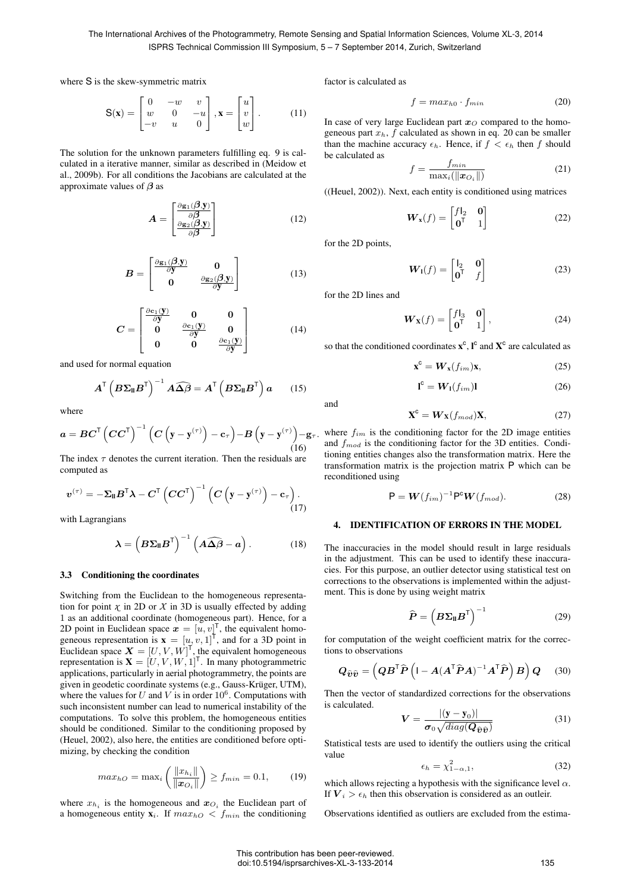The International Archives of the Photogrammetry, Remote Sensing and Spatial Information Sciences, Volume XL-3, 2014 ISPRS Technical Commission III Symposium, 5 – 7 September 2014, Zurich, Switzerland

where S is the skew-symmetric matrix

$$
\mathbf{S}(\mathbf{x}) = \begin{bmatrix} 0 & -w & v \\ w & 0 & -u \\ -v & u & 0 \end{bmatrix}, \mathbf{x} = \begin{bmatrix} u \\ v \\ w \end{bmatrix}.
$$
 (11)

The solution for the unknown parameters fulfilling eq. 9 is calculated in a iterative manner, similar as described in (Meidow et al., 2009b). For all conditions the Jacobians are calculated at the approximate values of  $\beta$  as

$$
A = \begin{bmatrix} \frac{\partial g_1(\beta, y)}{\partial \beta} \\ \frac{\partial g_2(\beta, y)}{\partial \beta} \end{bmatrix}
$$
 (12)

$$
B = \begin{bmatrix} \frac{\partial g_1(\mathcal{G}, \mathbf{y})}{\partial \mathbf{y}} & \mathbf{0} \\ \mathbf{0} & \frac{\partial g_2(\mathcal{G}, \mathbf{y})}{\partial \mathbf{y}} \end{bmatrix} \tag{13}
$$

$$
C = \begin{bmatrix} \frac{\partial \mathbf{c}_1(\mathbf{y})}{\partial \mathbf{y}} & \mathbf{0} & \mathbf{0} \\ \mathbf{0} & \frac{\partial \mathbf{c}_1(\mathbf{y})}{\partial \mathbf{y}} & \mathbf{0} \\ \mathbf{0} & \mathbf{0} & \frac{\partial \mathbf{c}_1(\mathbf{y})}{\partial \mathbf{y}} \end{bmatrix}
$$
(14)

and used for normal equation

$$
A^{\mathsf{T}}\left(B\Sigma_{\mathsf{II}}B^{\mathsf{T}}\right)^{-1}A\widehat{\Delta\beta}=A^{\mathsf{T}}\left(B\Sigma_{\mathsf{II}}B^{\mathsf{T}}\right)a\qquad(15)
$$

where

$$
a = BC^{\mathsf{T}} \left( CC^{\mathsf{T}} \right)^{-1} \left( C \left( \mathbf{y} - \mathbf{y}^{(\tau)} \right) - \mathbf{c}_{\tau} \right) - B \left( \mathbf{y} - \mathbf{y}^{(\tau)} \right) - \mathbf{g}_{\tau}.
$$
\n(16)

The index  $\tau$  denotes the current iteration. Then the residuals are computed as

$$
\boldsymbol{v}^{(\tau)} = -\boldsymbol{\Sigma}_{\mathbf{II}} \boldsymbol{B}^{\mathsf{T}} \boldsymbol{\lambda} - \boldsymbol{C}^{\mathsf{T}} \left( \boldsymbol{C} \boldsymbol{C}^{\mathsf{T}} \right)^{-1} \left( \boldsymbol{C} \left( \mathbf{y} - \mathbf{y}^{(\tau)} \right) - \mathbf{c}_{\tau} \right). \tag{17}
$$

with Lagrangians

$$
\lambda = \left( B \Sigma_{\mathsf{II}} B^{\mathsf{T}} \right)^{-1} \left( A \widehat{\Delta \beta} - a \right). \tag{18}
$$

#### 3.3 Conditioning the coordinates

Switching from the Euclidean to the homogeneous representation for point  $\chi$  in 2D or  $\chi$  in 3D is usually effected by adding 1 as an additional coordinate (homogeneous part). Hence, for a 2D point in Euclidean space  $\boldsymbol{x} = [u, v]^{\mathsf{T}}$ , the equivalent homogeneous representation is  $\mathbf{x} = [u, v, 1]^T$ , and for a 3D point in Euclidean space  $\boldsymbol{X} = [U, V, W]^\mathsf{T}$ , the equivalent homogeneous representation is  $\mathbf{X} = [U, V, W, 1]^\mathsf{T}$ . In many photogrammetric applications, particularly in aerial photogrammetry, the points are given in geodetic coordinate systems (e.g., Gauss-Krüger, UTM), where the values for U and V is in order  $10^6$ . Computations with such inconsistent number can lead to numerical instability of the computations. To solve this problem, the homogeneous entities should be conditioned. Similar to the conditioning proposed by (Heuel, 2002), also here, the entities are conditioned before optimizing, by checking the condition

$$
max_{hO} = \max_{i} \left( \frac{\|x_{h_i}\|}{\|\boldsymbol{x}_{O_i}\|} \right) \ge f_{min} = 0.1, \quad (19)
$$

where  $x_{h_i}$  is the homogeneous and  $x_{O_i}$  the Euclidean part of a homogeneous entity  $\mathbf{x}_i$ . If  $max_{hO} \leq f_{min}$  the conditioning factor is calculated as

$$
f = max_{h0} \cdot f_{min} \tag{20}
$$

In case of very large Euclidean part  $x<sub>O</sub>$  compared to the homogeneous part  $x_h$ ,  $f$  calculated as shown in eq. 20 can be smaller than the machine accuracy  $\epsilon_h$ . Hence, if  $f < \epsilon_h$  then f should be calculated as

$$
f = \frac{f_{min}}{\max_i(\|\boldsymbol{x}_{O_i}\|)}\tag{21}
$$

((Heuel, 2002)). Next, each entity is conditioned using matrices

$$
\boldsymbol{W}_{\mathbf{x}}(f) = \begin{bmatrix} f|_{2} & \mathbf{0} \\ \mathbf{0}^{\mathsf{T}} & 1 \end{bmatrix} \tag{22}
$$

for the 2D points,

$$
\boldsymbol{W}_1(f) = \begin{bmatrix} \mathbf{I}_2 & \mathbf{0} \\ \mathbf{0}^\mathsf{T} & f \end{bmatrix} \tag{23}
$$

for the 2D lines and

$$
\boldsymbol{W}_{\mathbf{X}}(f) = \begin{bmatrix} f|_{3} & \mathbf{0} \\ \mathbf{0}^{\mathsf{T}} & 1 \end{bmatrix},\tag{24}
$$

so that the conditioned coordinates  $x^c$ ,  $I^c$  and  $X^c$  are calculated as

$$
\mathbf{x}^{\mathbf{c}} = \mathbf{W}_{\mathbf{x}}(f_{im})\mathbf{x},\tag{25}
$$

$$
\mathbf{l}^{\mathsf{c}} = \mathbf{W}_{\mathsf{I}}(f_{im})\mathbf{l} \tag{26}
$$

and

$$
\mathbf{X}^{\mathbf{c}} = \mathbf{W}_{\mathbf{X}}(f_{mod})\mathbf{X},\tag{27}
$$

where  $f_{im}$  is the conditioning factor for the 2D image entities and  $f_{mod}$  is the conditioning factor for the 3D entities. Conditioning entities changes also the transformation matrix. Here the transformation matrix is the projection matrix P which can be reconditioned using

$$
\mathsf{P} = \mathbf{W}(f_{im})^{-1} \mathsf{P}^{\mathsf{c}} \mathbf{W}(f_{mod}). \tag{28}
$$

## 4. IDENTIFICATION OF ERRORS IN THE MODEL

The inaccuracies in the model should result in large residuals in the adjustment. This can be used to identify these inaccuracies. For this purpose, an outlier detector using statistical test on corrections to the observations is implemented within the adjustment. This is done by using weight matrix

$$
\widehat{\boldsymbol{P}} = \left(\boldsymbol{B}\boldsymbol{\Sigma}_{\mathbf{II}}\boldsymbol{B}^{\mathsf{T}}\right)^{-1} \tag{29}
$$

for computation of the weight coefficient matrix for the corrections to observations

$$
\boldsymbol{Q}_{\widehat{\boldsymbol{v}}\widehat{\boldsymbol{v}}} = \left(\boldsymbol{Q}\boldsymbol{B}^{\mathsf{T}}\widehat{\boldsymbol{P}}\left(\mathbf{I} - \boldsymbol{A}(\boldsymbol{A}^{\mathsf{T}}\widehat{\boldsymbol{P}}\boldsymbol{A})^{-1}\boldsymbol{A}^{\mathsf{T}}\widehat{\boldsymbol{P}}\right)\boldsymbol{B}\right)\boldsymbol{Q} \qquad (30)
$$

Then the vector of standardized corrections for the observations is calculated.

$$
V = \frac{|(\mathbf{y} - \mathbf{y}_0)|}{\sigma_0 \sqrt{diag(\mathbf{Q}_{\widehat{\boldsymbol{v}}\widehat{\boldsymbol{v}}})}}
$$
(31)

Statistical tests are used to identify the outliers using the critical value

$$
\epsilon_h = \chi^2_{1-\alpha,1},\tag{32}
$$

which allows rejecting a hypothesis with the significance level  $\alpha$ . If  $V_i > \epsilon_h$  then this observation is considered as an outleir.

Observations identified as outliers are excluded from the estima-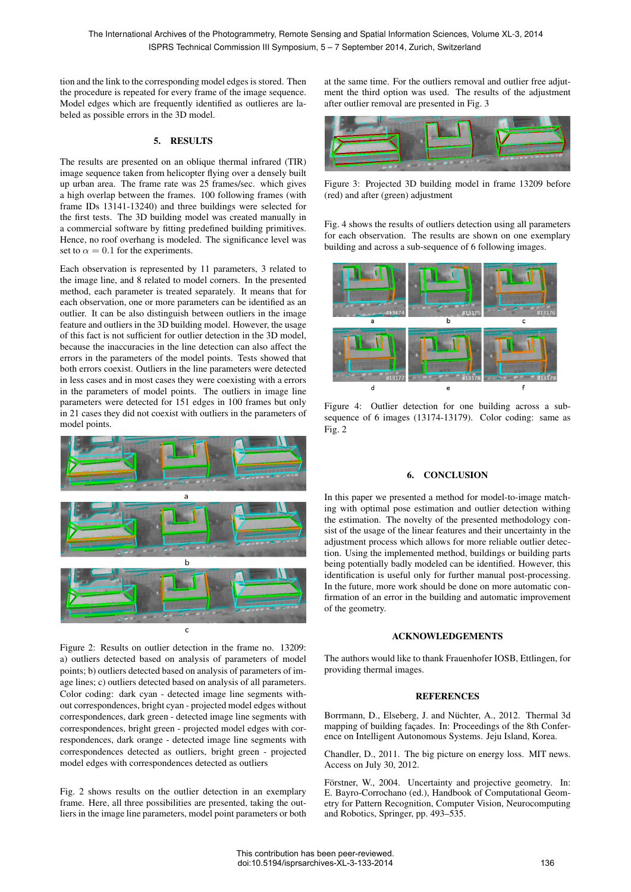tion and the link to the corresponding model edges is stored. Then the procedure is repeated for every frame of the image sequence. Model edges which are frequently identified as outlieres are labeled as possible errors in the 3D model.

## 5. RESULTS

The results are presented on an oblique thermal infrared (TIR) image sequence taken from helicopter flying over a densely built up urban area. The frame rate was 25 frames/sec. which gives a high overlap between the frames. 100 following frames (with frame IDs 13141-13240) and three buildings were selected for the first tests. The 3D building model was created manually in a commercial software by fitting predefined building primitives. Hence, no roof overhang is modeled. The significance level was set to  $\alpha = 0.1$  for the experiments.

Each observation is represented by 11 parameters, 3 related to the image line, and 8 related to model corners. In the presented method, each parameter is treated separately. It means that for each observation, one or more parameters can be identified as an outlier. It can be also distinguish between outliers in the image feature and outliers in the 3D building model. However, the usage of this fact is not sufficient for outlier detection in the 3D model, because the inaccuracies in the line detection can also affect the errors in the parameters of the model points. Tests showed that both errors coexist. Outliers in the line parameters were detected in less cases and in most cases they were coexisting with a errors in the parameters of model points. The outliers in image line parameters were detected for 151 edges in 100 frames but only in 21 cases they did not coexist with outliers in the parameters of model points.



Figure 2: Results on outlier detection in the frame no. 13209: a) outliers detected based on analysis of parameters of model points; b) outliers detected based on analysis of parameters of image lines; c) outliers detected based on analysis of all parameters. Color coding: dark cyan - detected image line segments without correspondences, bright cyan - projected model edges without correspondences, dark green - detected image line segments with correspondences, bright green - projected model edges with correspondences, dark orange - detected image line segments with correspondences detected as outliers, bright green - projected model edges with correspondences detected as outliers

Fig. 2 shows results on the outlier detection in an exemplary frame. Here, all three possibilities are presented, taking the outliers in the image line parameters, model point parameters or both at the same time. For the outliers removal and outlier free adjutment the third option was used. The results of the adjustment after outlier removal are presented in Fig. 3



Figure 3: Projected 3D building model in frame 13209 before (red) and after (green) adjustment

Fig. 4 shows the results of outliers detection using all parameters for each observation. The results are shown on one exemplary building and across a sub-sequence of 6 following images.



Figure 4: Outlier detection for one building across a subsequence of 6 images (13174-13179). Color coding: same as Fig. 2

### 6. CONCLUSION

In this paper we presented a method for model-to-image matching with optimal pose estimation and outlier detection withing the estimation. The novelty of the presented methodology consist of the usage of the linear features and their uncertainty in the adjustment process which allows for more reliable outlier detection. Using the implemented method, buildings or building parts being potentially badly modeled can be identified. However, this identification is useful only for further manual post-processing. In the future, more work should be done on more automatic confirmation of an error in the building and automatic improvement of the geometry.

## ACKNOWLEDGEMENTS

The authors would like to thank Frauenhofer IOSB, Ettlingen, for providing thermal images.

### **REFERENCES**

Borrmann, D., Elseberg, J. and Nüchter, A., 2012. Thermal 3d mapping of building façades. In: Proceedings of the 8th Conference on Intelligent Autonomous Systems. Jeju Island, Korea.

Chandler, D., 2011. The big picture on energy loss. MIT news. Access on July 30, 2012.

Förstner, W., 2004. Uncertainty and projective geometry. In: E. Bayro-Corrochano (ed.), Handbook of Computational Geometry for Pattern Recognition, Computer Vision, Neurocomputing and Robotics, Springer, pp. 493–535.